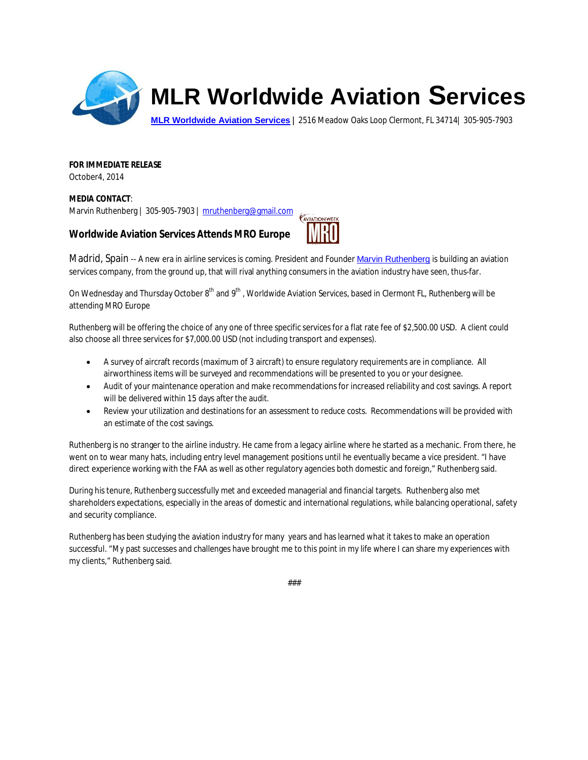

## **MLR Worldwide Aviation Services**

**MLR Worldwide Aviation Services |** 2516 Meadow Oaks Loop Clermont, FL 34714| 305-905-7903

**FOR IMMEDIATE RELEASE**  October4, 2014

**MEDIA CONTACT**: Marvin Ruthenberg | 305-905-7903 | mruthenberg@gmail.com

**Worldwide Aviation Services Attends MRO Europe** 



Madrid, Spain -- A new era in airline services is coming. President and Founder Marvin Ruthenberg is building an aviation services company, from the ground up, that will rival anything consumers in the aviation industry have seen, thus-far.

On Wednesday and Thursday October 8<sup>th</sup> and 9<sup>th</sup>, Worldwide Aviation Services, based in Clermont FL, Ruthenberg will be attending MRO Europe

Ruthenberg will be offering the choice of any one of three specific services for a flat rate fee of \$2,500.00 USD. A client could also choose all three services for \$7,000.00 USD (not including transport and expenses).

- x A survey of aircraft records (maximum of 3 aircraft) to ensure regulatory requirements are in compliance. All airworthiness items will be surveyed and recommendations will be presented to you or your designee.
- Audit of your maintenance operation and make recommendations for increased reliability and cost savings. A report will be delivered within 15 days after the audit.
- Review your utilization and destinations for an assessment to reduce costs. Recommendations will be provided with an estimate of the cost savings.

Ruthenberg is no stranger to the airline industry. He came from a legacy airline where he started as a mechanic. From there, he went on to wear many hats, including entry level management positions until he eventually became a vice president. "I have direct experience working with the FAA as well as other regulatory agencies both domestic and foreign," Ruthenberg said.

During his tenure, Ruthenberg successfully met and exceeded managerial and financial targets. Ruthenberg also met shareholders expectations, especially in the areas of domestic and international regulations, while balancing operational, safety and security compliance.

Ruthenberg has been studying the aviation industry for many years and has learned what it takes to make an operation successful. "My past successes and challenges have brought me to this point in my life where I can share my experiences with my clients," Ruthenberg said.

###